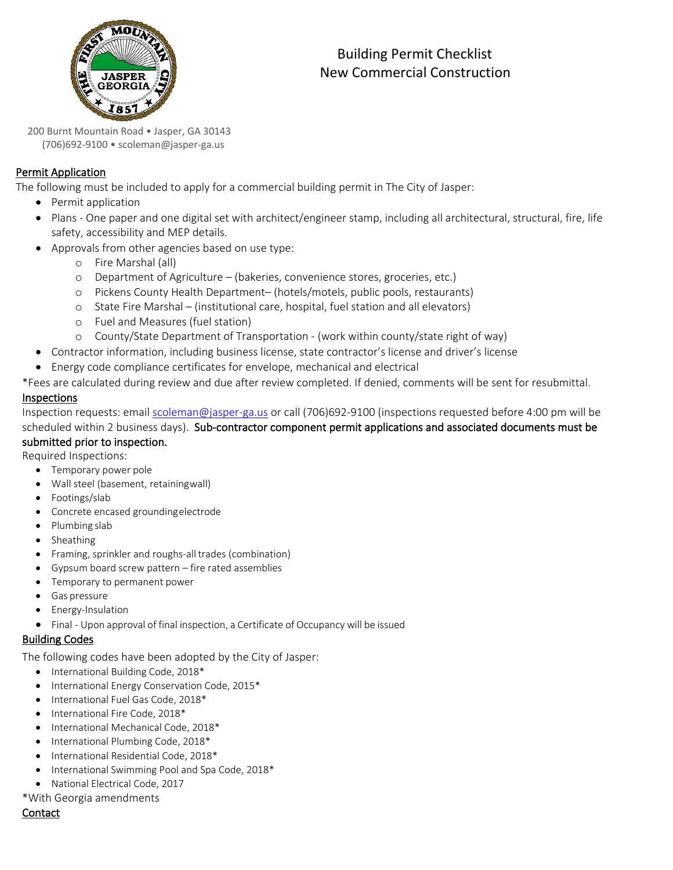

# Building Permit Checklist New Commercial Construction

 200 Burnt Mountain Road • Jasper, GA <sup>30143</sup> (706)692-9100 • scoleman[@jasper-ga.us](http://www.suwanee.com/)

## Permit Application

The following must be included to apply for a commercial building permit in The City of Jasper:

- Permit application
- Plans One paper and one digital set with architect/engineer stamp, including all architectural, structural, fire, life safety, accessibility and MEP details.
- Approvals from other agencies based on use type:
	- o Fire Marshal (all)
	- o Department of Agriculture (bakeries, convenience stores, groceries, etc.)
	- o Pickens County Health Department– (hotels/motels, public pools, restaurants)
	- o State Fire Marshal (institutional care, hospital, fuel station and all elevators)
	- o Fuel and Measures (fuel station)
	- o County/State Department of Transportation (work within county/state right of way)
- Contractor information, including business license, state contractor's license and driver's license
- Energy code compliance certificates for envelope, mechanical and electrical

\*Fees are calculated during review and due after review completed. If denied, comments will be sent for resubmittal.

### Inspections

Inspection requests: email [scoleman@jasper-ga.us](mailto:scoleman@jasper-ga.us) or call (706)692-9100 (inspections requested before 4:00 pm will be scheduled within 2 business days). Sub-contractor component permit applications and associated documents must be submitted prior to inspection.

Required Inspections:

- Temporary power pole
- Wall steel (basement, retainingwall)
- Footings/slab
- Concrete encased groundingelectrode
- Plumbing slab
- Sheathing
- Framing, sprinkler and roughs-alltrades (combination)
- Gypsum board screw pattern fire rated assemblies
- Temporary to permanent power
- Gas pressure
- Energy-Insulation
- Final Upon approval of final inspection, a Certificate of Occupancy will be issued

## Building Codes

The following codes have been adopted by the City of Jasper:

- International Building Code, 2018\*
- International Energy Conservation Code, 2015\*
- International Fuel Gas Code, 2018\*
- International Fire Code, 2018\*
- International Mechanical Code, 2018\*
- International Plumbing Code, 2018\*
- International Residential Code, 2018\*
- International Swimming Pool and Spa Code, 2018\*
- National Electrical Code, 2017

\*With Georgia amendments

#### Contact